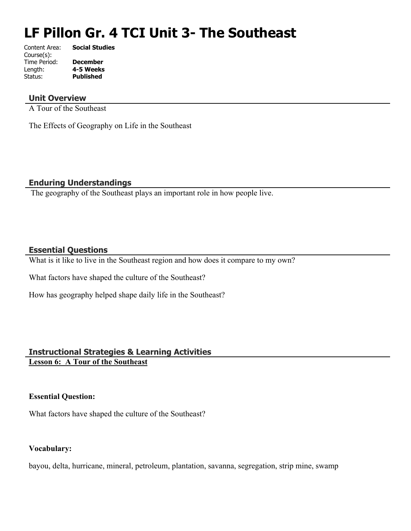# **LF Pillon Gr. 4 TCI Unit 3- The Southeast**

| Content Area: | <b>Social Studies</b> |
|---------------|-----------------------|
| Course(s):    |                       |
| Time Period:  | <b>December</b>       |
| Length:       | 4-5 Weeks             |
| Status:       | <b>Published</b>      |
|               |                       |

# **Unit Overview**

A Tour of the Southeast

The Effects of Geography on Life in the Southeast

# **Enduring Understandings**

The geography of the Southeast plays an important role in how people live.

# **Essential Questions**

What is it like to live in the Southeast region and how does it compare to my own?

What factors have shaped the culture of the Southeast?

How has geography helped shape daily life in the Southeast?

# **Instructional Strategies & Learning Activities**

**Lesson 6: A Tour of the Southeast**

# **Essential Question:**

What factors have shaped the culture of the Southeast?

# **Vocabulary:**

bayou, delta, hurricane, mineral, petroleum, plantation, savanna, segregation, strip mine, swamp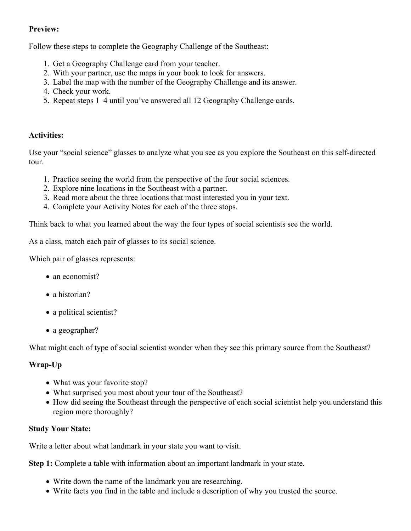# **Preview:**

Follow these steps to complete the Geography Challenge of the Southeast:

- 1. Get a Geography Challenge card from your teacher.
- 2. With your partner, use the maps in your book to look for answers.
- 3. Label the map with the number of the Geography Challenge and its answer.
- 4. Check your work.
- 5. Repeat steps 1–4 until you've answered all 12 Geography Challenge cards.

# **Activities:**

Use your "social science" glasses to analyze what you see as you explore the Southeast on this self-directed tour.

- 1. Practice seeing the world from the perspective of the four social sciences.
- 2. Explore nine locations in the Southeast with a partner.
- 3. Read more about the three locations that most interested you in your text.
- 4. Complete your Activity Notes for each of the three stops.

Think back to what you learned about the way the four types of social scientists see the world.

As a class, match each pair of glasses to its social science.

Which pair of glasses represents:

- an economist?
- a historian?
- a political scientist?
- a geographer?

What might each of type of social scientist wonder when they see this primary source from the Southeast?

# **Wrap-Up**

- What was your favorite stop?
- What surprised you most about your tour of the Southeast?
- How did seeing the Southeast through the perspective of each social scientist help you understand this region more thoroughly?

# **Study Your State:**

Write a letter about what landmark in your state you want to visit.

**Step 1:** Complete a table with information about an important landmark in your state.

- Write down the name of the landmark you are researching.
- Write facts you find in the table and include a description of why you trusted the source.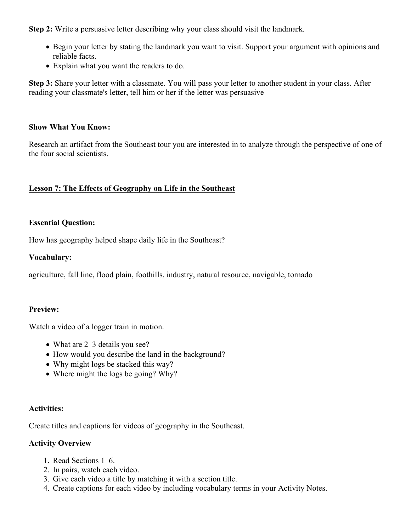**Step 2:** Write a persuasive letter describing why your class should visit the landmark.

- Begin your letter by stating the landmark you want to visit. Support your argument with opinions and reliable facts.
- Explain what you want the readers to do.

**Step 3:** Share your letter with a classmate. You will pass your letter to another student in your class. After reading your classmate's letter, tell him or her if the letter was persuasive

#### **Show What You Know:**

Research an artifact from the Southeast tour you are interested in to analyze through the perspective of one of the four social scientists.

#### **Lesson 7: The Effects of Geography on Life in the Southeast**

#### **Essential Question:**

How has geography helped shape daily life in the Southeast?

#### **Vocabulary:**

agriculture, fall line, flood plain, foothills, industry, natural resource, navigable, tornado

#### **Preview:**

Watch a video of a logger train in motion.

- What are 2–3 details you see?
- How would you describe the land in the background?
- Why might logs be stacked this way?
- Where might the logs be going? Why?

#### **Activities:**

Create titles and captions for videos of geography in the Southeast.

#### **Activity Overview**

- 1. Read Sections 1–6.
- 2. In pairs, watch each video.
- 3. Give each video a title by matching it with a section title.
- 4. Create captions for each video by including vocabulary terms in your Activity Notes.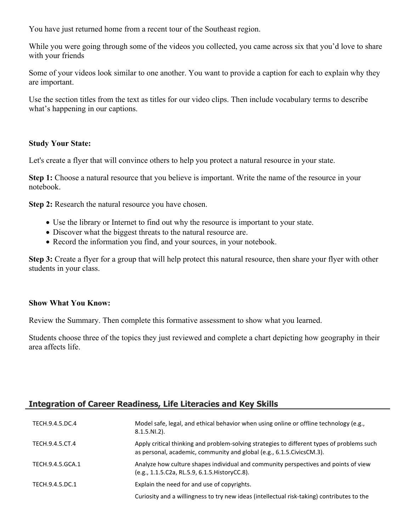You have just returned home from a recent tour of the Southeast region.

While you were going through some of the videos you collected, you came across six that you'd love to share with your friends

Some of your videos look similar to one another. You want to provide a caption for each to explain why they are important.

Use the section titles from the text as titles for our video clips. Then include vocabulary terms to describe what's happening in our captions.

#### **Study Your State:**

Let's create a flyer that will convince others to help you protect a natural resource in your state.

**Step 1:** Choose a natural resource that you believe is important. Write the name of the resource in your notebook.

**Step 2:** Research the natural resource you have chosen.

- Use the library or Internet to find out why the resource is important to your state.
- Discover what the biggest threats to the natural resource are.
- Record the information you find, and your sources, in your notebook.

**Step 3:** Create a flyer for a group that will help protect this natural resource, then share your flyer with other students in your class.

#### **Show What You Know:**

Review the Summary. Then complete this formative assessment to show what you learned.

Students choose three of the topics they just reviewed and complete a chart depicting how geography in their area affects life.

# **Integration of Career Readiness, Life Literacies and Key Skills**

| TECH.9.4.5.DC.4  | Model safe, legal, and ethical behavior when using online or offline technology (e.g.,<br>$8.1.5.NI.2$ ).                                                             |
|------------------|-----------------------------------------------------------------------------------------------------------------------------------------------------------------------|
| TECH.9.4.5.CT.4  | Apply critical thinking and problem-solving strategies to different types of problems such<br>as personal, academic, community and global (e.g., 6.1.5. Civics CM.3). |
| TECH.9.4.5.GCA.1 | Analyze how culture shapes individual and community perspectives and points of view<br>(e.g., 1.1.5.C2a, RL.5.9, 6.1.5. HistoryCC.8).                                 |
| TECH.9.4.5.DC.1  | Explain the need for and use of copyrights.                                                                                                                           |
|                  | Curiosity and a willingness to try new ideas (intellectual risk-taking) contributes to the                                                                            |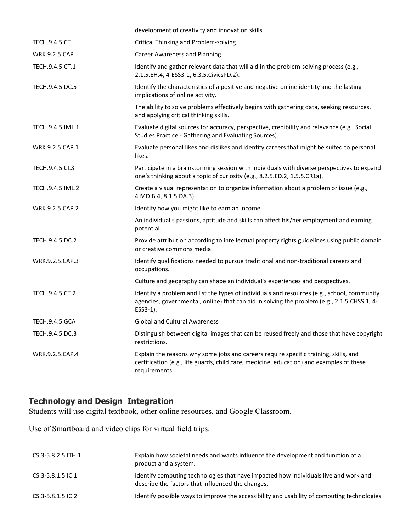|                       | development of creativity and innovation skills.                                                                                                                                                       |
|-----------------------|--------------------------------------------------------------------------------------------------------------------------------------------------------------------------------------------------------|
| <b>TECH.9.4.5.CT</b>  | <b>Critical Thinking and Problem-solving</b>                                                                                                                                                           |
| <b>WRK.9.2.5.CAP</b>  | <b>Career Awareness and Planning</b>                                                                                                                                                                   |
| TECH.9.4.5.CT.1       | Identify and gather relevant data that will aid in the problem-solving process (e.g.,<br>2.1.5.EH.4, 4-ESS3-1, 6.3.5.CivicsPD.2).                                                                      |
| TECH.9.4.5.DC.5       | Identify the characteristics of a positive and negative online identity and the lasting<br>implications of online activity.                                                                            |
|                       | The ability to solve problems effectively begins with gathering data, seeking resources,<br>and applying critical thinking skills.                                                                     |
| TECH.9.4.5.IML.1      | Evaluate digital sources for accuracy, perspective, credibility and relevance (e.g., Social<br>Studies Practice - Gathering and Evaluating Sources).                                                   |
| WRK.9.2.5.CAP.1       | Evaluate personal likes and dislikes and identify careers that might be suited to personal<br>likes.                                                                                                   |
| TECH.9.4.5.Cl.3       | Participate in a brainstorming session with individuals with diverse perspectives to expand<br>one's thinking about a topic of curiosity (e.g., 8.2.5.ED.2, 1.5.5.CR1a).                               |
| TECH.9.4.5.IML.2      | Create a visual representation to organize information about a problem or issue (e.g.,<br>4.MD.B.4, 8.1.5.DA.3).                                                                                       |
| WRK.9.2.5.CAP.2       | Identify how you might like to earn an income.                                                                                                                                                         |
|                       | An individual's passions, aptitude and skills can affect his/her employment and earning<br>potential.                                                                                                  |
| TECH.9.4.5.DC.2       | Provide attribution according to intellectual property rights guidelines using public domain<br>or creative commons media.                                                                             |
| WRK.9.2.5.CAP.3       | Identify qualifications needed to pursue traditional and non-traditional careers and<br>occupations.                                                                                                   |
|                       | Culture and geography can shape an individual's experiences and perspectives.                                                                                                                          |
| TECH.9.4.5.CT.2       | Identify a problem and list the types of individuals and resources (e.g., school, community<br>agencies, governmental, online) that can aid in solving the problem (e.g., 2.1.5.CHSS.1, 4-<br>ESS3-1). |
| <b>TECH.9.4.5.GCA</b> | <b>Global and Cultural Awareness</b>                                                                                                                                                                   |
| TECH.9.4.5.DC.3       | Distinguish between digital images that can be reused freely and those that have copyright<br>restrictions.                                                                                            |
| WRK.9.2.5.CAP.4       | Explain the reasons why some jobs and careers require specific training, skills, and<br>certification (e.g., life guards, child care, medicine, education) and examples of these<br>requirements.      |

# **Technology and Design Integration**

Students will use digital textbook, other online resources, and Google Classroom.

Use of Smartboard and video clips for virtual field trips.

| CS.3-5.8.2.5. ITH.1      | Explain how societal needs and wants influence the development and function of a<br>product and a system.                                 |
|--------------------------|-------------------------------------------------------------------------------------------------------------------------------------------|
| $CS.3 - 5.8.1.5$ . IC. 1 | Identify computing technologies that have impacted how individuals live and work and<br>describe the factors that influenced the changes. |
| CS.3-5.8.1.5.IC.2        | Identify possible ways to improve the accessibility and usability of computing technologies                                               |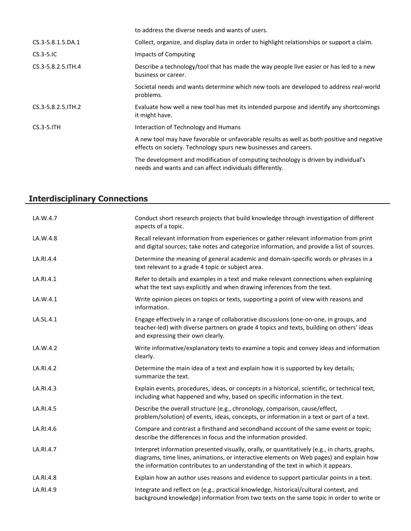|                     | to address the diverse needs and wants of users.                                                                                                               |
|---------------------|----------------------------------------------------------------------------------------------------------------------------------------------------------------|
| CS.3-5.8.1.5.DA.1   | Collect, organize, and display data in order to highlight relationships or support a claim.                                                                    |
| $CS.3-5.1C$         | Impacts of Computing                                                                                                                                           |
| CS.3-5.8.2.5. TH.4  | Describe a technology/tool that has made the way people live easier or has led to a new<br>business or career.                                                 |
|                     | Societal needs and wants determine which new tools are developed to address real-world<br>problems.                                                            |
| CS.3-5.8.2.5. ITH.2 | Evaluate how well a new tool has met its intended purpose and identify any shortcomings<br>it might have.                                                      |
| $CS.3 - 5.1TH$      | Interaction of Technology and Humans                                                                                                                           |
|                     | A new tool may have favorable or unfavorable results as well as both positive and negative<br>effects on society. Technology spurs new businesses and careers. |
|                     | The development and modification of computing technology is driven by individual's<br>needs and wants and can affect individuals differently.                  |

# **Interdisciplinary Connections**

| LA.W.4.7  | Conduct short research projects that build knowledge through investigation of different<br>aspects of a topic.                                                                                                                                                               |
|-----------|------------------------------------------------------------------------------------------------------------------------------------------------------------------------------------------------------------------------------------------------------------------------------|
| LA.W.4.8  | Recall relevant information from experiences or gather relevant information from print<br>and digital sources; take notes and categorize information, and provide a list of sources.                                                                                         |
| LA.RI.4.4 | Determine the meaning of general academic and domain-specific words or phrases in a<br>text relevant to a grade 4 topic or subject area.                                                                                                                                     |
| LA.RI.4.1 | Refer to details and examples in a text and make relevant connections when explaining<br>what the text says explicitly and when drawing inferences from the text.                                                                                                            |
| LA.W.4.1  | Write opinion pieces on topics or texts, supporting a point of view with reasons and<br>information.                                                                                                                                                                         |
| LA.SL.4.1 | Engage effectively in a range of collaborative discussions (one-on-one, in groups, and<br>teacher-led) with diverse partners on grade 4 topics and texts, building on others' ideas<br>and expressing their own clearly.                                                     |
| LA.W.4.2  | Write informative/explanatory texts to examine a topic and convey ideas and information<br>clearly.                                                                                                                                                                          |
| LA.RI.4.2 | Determine the main idea of a text and explain how it is supported by key details;<br>summarize the text.                                                                                                                                                                     |
| LA.RI.4.3 | Explain events, procedures, ideas, or concepts in a historical, scientific, or technical text,<br>including what happened and why, based on specific information in the text.                                                                                                |
| LA.RI.4.5 | Describe the overall structure (e.g., chronology, comparison, cause/effect,<br>problem/solution) of events, ideas, concepts, or information in a text or part of a text.                                                                                                     |
| LA.RI.4.6 | Compare and contrast a firsthand and secondhand account of the same event or topic;<br>describe the differences in focus and the information provided.                                                                                                                       |
| LA.RI.4.7 | Interpret information presented visually, orally, or quantitatively (e.g., in charts, graphs,<br>diagrams, time lines, animations, or interactive elements on Web pages) and explain how<br>the information contributes to an understanding of the text in which it appears. |
| LA.RI.4.8 | Explain how an author uses reasons and evidence to support particular points in a text.                                                                                                                                                                                      |
| LA.RI.4.9 | Integrate and reflect on (e.g., practical knowledge, historical/cultural context, and<br>background knowledge) information from two texts on the same topic in order to write or                                                                                             |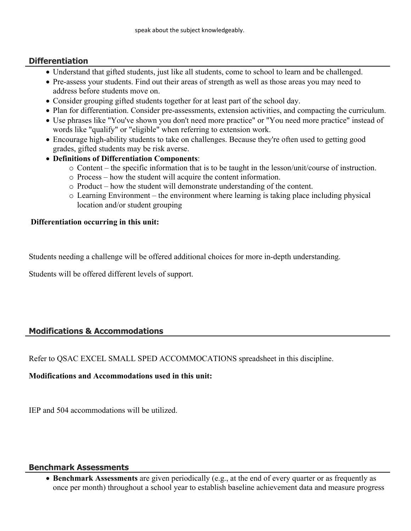# **Differentiation**

- Understand that gifted students, just like all students, come to school to learn and be challenged.
- Pre-assess your students. Find out their areas of strength as well as those areas you may need to address before students move on.
- Consider grouping gifted students together for at least part of the school day.
- Plan for differentiation. Consider pre-assessments, extension activities, and compacting the curriculum.
- Use phrases like "You've shown you don't need more practice" or "You need more practice" instead of words like "qualify" or "eligible" when referring to extension work.
- Encourage high-ability students to take on challenges. Because they're often used to getting good grades, gifted students may be risk averse.
- **Definitions of Differentiation Components**:
	- o Content the specific information that is to be taught in the lesson/unit/course of instruction.
	- o Process how the student will acquire the content information.
	- o Product how the student will demonstrate understanding of the content.
	- o Learning Environment the environment where learning is taking place including physical location and/or student grouping

#### **Differentiation occurring in this unit:**

Students needing a challenge will be offered additional choices for more in-depth understanding.

Students will be offered different levels of support.

# **Modifications & Accommodations**

Refer to QSAC EXCEL SMALL SPED ACCOMMOCATIONS spreadsheet in this discipline.

# **Modifications and Accommodations used in this unit:**

IEP and 504 accommodations will be utilized.

# **Benchmark Assessments**

 **Benchmark Assessments** are given periodically (e.g., at the end of every quarter or as frequently as once per month) throughout a school year to establish baseline achievement data and measure progress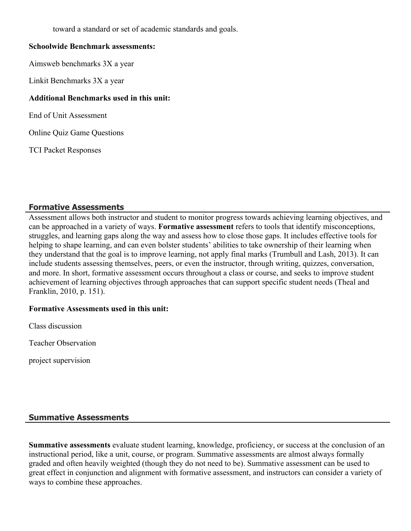toward a standard or set of academic standards and goals.

#### **Schoolwide Benchmark assessments:**

Aimsweb benchmarks 3X a year

Linkit Benchmarks 3X a year

# **Additional Benchmarks used in this unit:**

End of Unit Assessment

Online Quiz Game Questions

TCI Packet Responses

# **Formative Assessments**

Assessment allows both instructor and student to monitor progress towards achieving learning objectives, and can be approached in a variety of ways. **Formative assessment** refers to tools that identify misconceptions, struggles, and learning gaps along the way and assess how to close those gaps. It includes effective tools for helping to shape learning, and can even bolster students' abilities to take ownership of their learning when they understand that the goal is to improve learning, not apply final marks (Trumbull and Lash, 2013). It can include students assessing themselves, peers, or even the instructor, through writing, quizzes, conversation, and more. In short, formative assessment occurs throughout a class or course, and seeks to improve student achievement of learning objectives through approaches that can support specific student needs (Theal and Franklin, 2010, p. 151).

# **Formative Assessments used in this unit:**

Class discussion

Teacher Observation

project supervision

# **Summative Assessments**

**Summative assessments** evaluate student learning, knowledge, proficiency, or success at the conclusion of an instructional period, like a unit, course, or program. Summative assessments are almost always formally graded and often heavily weighted (though they do not need to be). Summative assessment can be used to great effect in conjunction and alignment with formative assessment, and instructors can consider a variety of ways to combine these approaches.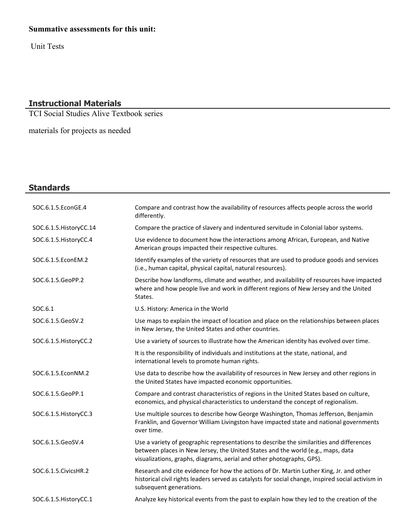# **Summative assessments for this unit:**

Unit Tests

# **Instructional Materials**

TCI Social Studies Alive Textbook series

materials for projects as needed

# **Standards**

| SOC.6.1.5.EconGE.4      | Compare and contrast how the availability of resources affects people across the world<br>differently.                                                                                                                                               |
|-------------------------|------------------------------------------------------------------------------------------------------------------------------------------------------------------------------------------------------------------------------------------------------|
| SOC.6.1.5. HistoryCC.14 | Compare the practice of slavery and indentured servitude in Colonial labor systems.                                                                                                                                                                  |
| SOC.6.1.5. HistoryCC.4  | Use evidence to document how the interactions among African, European, and Native<br>American groups impacted their respective cultures.                                                                                                             |
| SOC.6.1.5.EconEM.2      | Identify examples of the variety of resources that are used to produce goods and services<br>(i.e., human capital, physical capital, natural resources).                                                                                             |
| SOC.6.1.5.GeoPP.2       | Describe how landforms, climate and weather, and availability of resources have impacted<br>where and how people live and work in different regions of New Jersey and the United<br>States.                                                          |
| SOC.6.1                 | U.S. History: America in the World                                                                                                                                                                                                                   |
| SOC.6.1.5.GeoSV.2       | Use maps to explain the impact of location and place on the relationships between places<br>in New Jersey, the United States and other countries.                                                                                                    |
| SOC.6.1.5. HistoryCC.2  | Use a variety of sources to illustrate how the American identity has evolved over time.                                                                                                                                                              |
|                         | It is the responsibility of individuals and institutions at the state, national, and<br>international levels to promote human rights.                                                                                                                |
| SOC.6.1.5.EconNM.2      | Use data to describe how the availability of resources in New Jersey and other regions in<br>the United States have impacted economic opportunities.                                                                                                 |
| SOC.6.1.5.GeoPP.1       | Compare and contrast characteristics of regions in the United States based on culture,<br>economics, and physical characteristics to understand the concept of regionalism.                                                                          |
| SOC.6.1.5. HistoryCC.3  | Use multiple sources to describe how George Washington, Thomas Jefferson, Benjamin<br>Franklin, and Governor William Livingston have impacted state and national governments<br>over time.                                                           |
| SOC.6.1.5.GeoSV.4       | Use a variety of geographic representations to describe the similarities and differences<br>between places in New Jersey, the United States and the world (e.g., maps, data<br>visualizations, graphs, diagrams, aerial and other photographs, GPS). |
| SOC.6.1.5. Civics HR.2  | Research and cite evidence for how the actions of Dr. Martin Luther King, Jr. and other<br>historical civil rights leaders served as catalysts for social change, inspired social activism in<br>subsequent generations.                             |
| SOC.6.1.5. HistoryCC.1  | Analyze key historical events from the past to explain how they led to the creation of the                                                                                                                                                           |